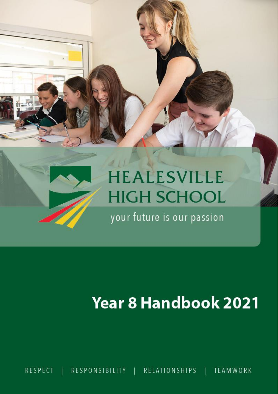

# **Year 8 Handbook 2021**

RESPONSIBILITY | RELATIONSHIPS | **TEAMWORK RESPECT**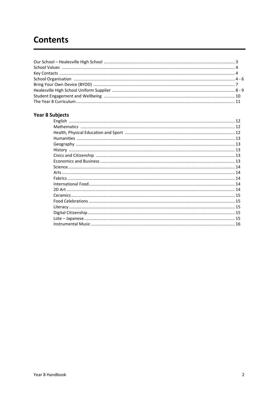# **Contents**

# **Year 8 Subjects**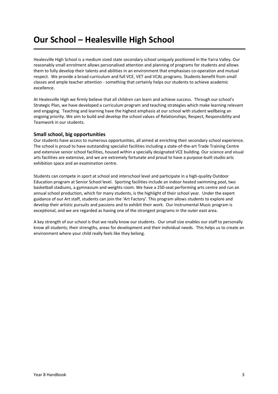# **Our School – Healesville High School**

Healesville High School is a medium sized state secondary school uniquely positioned in the Yarra Valley. Our reasonably small enrolment allows personalised attention and planning of programs for students and allows them to fully develop their talents and abilities in an environment that emphasises co-operation and mutual respect. We provide a broad curriculum and full VCE, VET and VCAL programs. Students benefit from small classes and ample teacher attention - something that certainly helps our students to achieve academic excellence.

At Healesville High we firmly believe that all children can learn and achieve success. Through our school's Strategic Plan, we have developed a curriculum program and teaching strategies which make learning relevant and engaging. Teaching and learning have the highest emphasis at our school with student wellbeing an ongoing priority. We aim to build and develop the school values of Relationships, Respect, Responsibility and Teamwork in our students.

# **Small school, big opportunities**

Our students have access to numerous opportunities, all aimed at enriching their secondary school experience. The school is proud to have outstanding specialist facilities including a state-of-the-art Trade Training Centre and extensive senior school facilities, housed within a specially designated VCE building. Our science and visual arts facilities are extensive, and we are extremely fortunate and proud to have a purpose-built studio arts exhibition space and an examination centre.

Students can compete in sport at school and interschool level and participate in a high-quality Outdoor Education program at Senior School level. Sporting facilities include an indoor heated swimming pool, two basketball stadiums, a gymnasium and weights room. We have a 250-seat performing arts centre and run an annual school production, which for many students, is the highlight of their school year. Under the expert guidance of our Art staff, students can join the 'Art Factory'. This program allows students to explore and develop their artistic pursuits and passions and to exhibit their work. Our Instrumental Music program is exceptional, and we are regarded as having one of the strongest programs in the outer east area.

A key strength of our school is that we really know our students. Our small size enables our staff to personally know all students; their strengths, areas for development and their individual needs. This helps us to create an environment where your child really feels like they belong.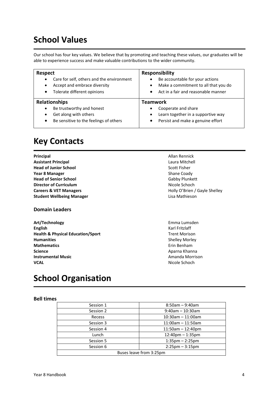# **School Values**

Our school has four key values. We believe that by promoting and teaching these values, our graduates will be able to experience success and make valuable contributions to the wider community.

| <b>Respect</b><br>Care for self, others and the environment<br>$\bullet$<br>Accept and embrace diversity<br>$\bullet$<br>Tolerate different opinions<br>$\bullet$ | <b>Responsibility</b><br>Be accountable for your actions<br>Make a commitment to all that you do<br>$\bullet$<br>Act in a fair and reasonable manner<br>$\bullet$ |
|-------------------------------------------------------------------------------------------------------------------------------------------------------------------|-------------------------------------------------------------------------------------------------------------------------------------------------------------------|
| <b>Relationships</b>                                                                                                                                              | Teamwork                                                                                                                                                          |
|                                                                                                                                                                   |                                                                                                                                                                   |
| Be trustworthy and honest<br>$\bullet$<br>Get along with others<br>٠                                                                                              | Cooperate and share<br>Learn together in a supportive way<br>$\bullet$                                                                                            |

# **Key Contacts**

| Principal                         | Allan Rennick                 |
|-----------------------------------|-------------------------------|
| <b>Assistant Principal</b>        | Laura Mitchell                |
| <b>Head of Junior School</b>      | Scott Fisher                  |
| <b>Year 8 Manager</b>             | Shane Coady                   |
| <b>Head of Senior School</b>      | Gabby Plunkett                |
| <b>Director of Curriculum</b>     | Nicole Schoch                 |
| <b>Careers &amp; VET Managers</b> | Holly O'Brien / Gayle Shelley |
| <b>Student Wellbeing Manager</b>  | Lisa Mathieson                |
|                                   |                               |

# **Domain Leaders**

**Art/Technology** Emma Lumsden **English** Karl Fritzlaff **Health & Physical Education/Sport** Trent Morison **Humanities** Shelley Morley **Mathematics** Erin Benham **Science** Aparna Khanna **Instrumental Music**<br> **Instrumental Music VCAL VCAL VCAL** 

**School Organisation**

# **Bell times**

| Session 1               | $8:50$ am - 9:40am                |  |
|-------------------------|-----------------------------------|--|
| Session 2               | $9:40$ am - 10:30am               |  |
| Recess                  | $10:30$ am $-11:00$ am            |  |
| Session 3               | $11:00$ am - 11:50am              |  |
| Session 4               | $11:50am - 12:40pm$               |  |
| Lunch                   | $12:40$ pm $- 1:35$ pm            |  |
| Session 5               | $1:35 \text{pm} - 2:25 \text{pm}$ |  |
| Session 6               | $2:25$ pm $-3:15$ pm              |  |
| Buses leave from 3:25pm |                                   |  |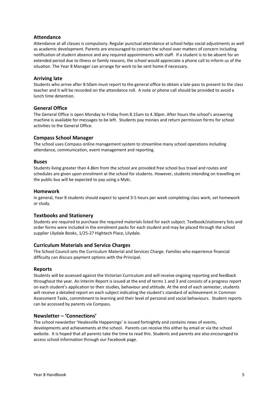# **Attendance**

Attendance at all classes is compulsory. Regular punctual attendance at school helps social adjustments as well as academic development. Parents are encouraged to contact the school over matters of concern including notification of student absence and any required appointments with staff. If a student is to be absent for an extended period due to illness or family reasons, the school would appreciate a phone call to inform us of the situation. The Year 8 Manager can arrange for work to be sent home if necessary.

# **Arriving late**

Students who arrive after 8:50am must report to the general office to obtain a late pass to present to the class teacher and it will be recorded on the attendance roll. A note or phone call should be provided to avoid a lunch time detention.

# **General Office**

The General Office is open Monday to Friday from 8.15am to 4.30pm. After hours the school's answering machine is available for messages to be left. Students pay monies and return permission forms for school activities to the General Office.

# **Compass School Manager**

The school uses Compass online management system to streamline many school operations including attendance, communication, event management and reporting.

### **Buses**

Students living greater than 4.8km from the school are provided free school bus travel and routes and schedules are given upon enrolment at the school for students. However, students intending on travelling on the public bus will be expected to pay using a Myki.

### **Homework**

In general, Year 8 students should expect to spend 3-5 hours per week completing class work, set homework or study.

### **Textbooks and Stationery**

Students are required to purchase the required materials listed for each subject. Textbook/stationery lists and order forms were included in the enrolment packs for each student and may be placed through the school supplier Lilydale Books, 1/25-27 Hightech Place, Lilydale.

### **Curriculum Materials and Service Charges**

The School Council sets the Curriculum Material and Services Charge. Families who experience financial difficulty can discuss payment options with the Principal.

### **Reports**

Students will be assessed against the Victorian Curriculum and will receive ongoing reporting and feedback throughout the year. An Interim Report is issued at the end of terms 1 and 3 and consists of a progress report on each student's application to their studies, behaviour and attitude. At the end of each semester, students will receive a detailed report on each subject indicating the student's standard of achievement in Common Assessment Tasks, commitment to learning and their level of personal and social behaviours. Student reports can be accessed by parents via Compass.

### **Newsletter – 'Connections'**

The school newsletter 'Healesville Happenings' is issued fortnightly and contains news of events, developments and achievements at the school. Parents can receive this either by email or via the school website. It is hoped that all parents take the time to read this. Students and parents are also encouraged to access school information through our Facebook page.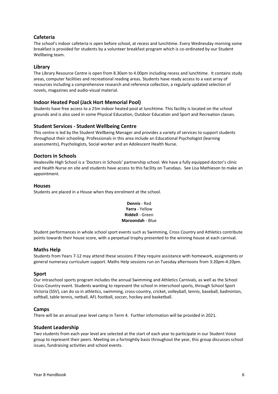# **Cafeteria**

The school's indoor cafeteria is open before school, at recess and lunchtime. Every Wednesday morning some breakfast is provided for students by a volunteer breakfast program which is co-ordinated by our Student Wellbeing team.

# **Library**

The Library Resource Centre is open from 8.30am to 4.00pm including recess and lunchtime. It contains study areas, computer facilities and recreational reading areas. Students have ready access to a vast array of resources including a comprehensive research and reference collection, a regularly updated selection of novels, magazines and audio-visual material.

# **Indoor Heated Pool (Jack Hort Memorial Pool)**

Students have free access to a 25m indoor heated pool at lunchtime. This facility is located on the school grounds and is also used in some Physical Education, Outdoor Education and Sport and Recreation classes.

# **Student Services - Student Wellbeing Centre**

This centre is led by the Student Wellbeing Manager and provides a variety of services to support students throughout their schooling. Professionals in this area include an Educational Psychologist (learning assessments), Psychologists, Social worker and an Adolescent Health Nurse.

# **Doctors in Schools**

Healesville High School is a 'Doctors in Schools' partnership school. We have a fully equipped doctor's clinic and Health Nurse on site and students have access to this facility on Tuesdays. See Lisa Mathieson to make an appointment.

# **Houses**

Students are placed in a House when they enrolment at the school.

# **Dennis** - Red **Yarra** - Yellow **Riddell** - Green **Maroondah** - Blue

Student performances in whole school sport events such as Swimming, Cross Country and Athletics contribute points towards their house score, with a perpetual trophy presented to the winning house at each carnival.

# **Maths Help**

Students from Years 7-12 may attend these sessions if they require assistance with homework, assignments or general numeracy curriculum support. Maths Help sessions run on Tuesday afternoons from 3:20pm-4:20pm.

# **Sport**

Our intraschool sports program includes the annual Swimming and Athletics Carnivals, as well as the School Cross-Country event. Students wanting to represent the school in interschool sports, through School Sport Victoria (SSV), can do so in athletics, swimming, cross-country, cricket, volleyball, tennis, baseball, badminton, softball, table tennis, netball, AFL football, soccer, hockey and basketball.

# **Camps**

There will be an annual year level camp in Term 4. Further information will be provided in 2021.

# **Student Leadership**

Two students from each year level are selected at the start of each year to participate in our Student Voice group to represent their peers. Meeting on a fortnightly basis throughout the year, this group discusses school issues, fundraising activities and school events.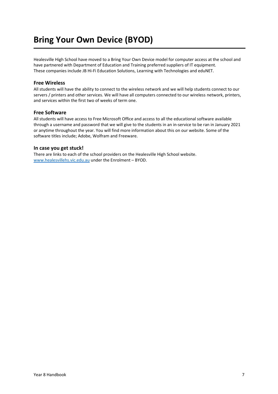# **Bring Your Own Device (BYOD)**

Healesville High School have moved to a Bring Your Own Device model for computer access at the school and have partnered with Department of Education and Training preferred suppliers of IT equipment. These companies include JB Hi-Fi Education Solutions, Learning with Technologies and eduNET.

# **Free Wireless**

All students will have the ability to connect to the wireless network and we will help students connect to our servers / printers and other services. We will have all computers connected to our wireless network, printers, and services within the first two of weeks of term one.

# **Free Software**

All students will have access to Free Microsoft Office and access to all the educational software available through a username and password that we will give to the students in an in-service to be ran in January 2021 or anytime throughout the year. You will find more information about this on our website. Some of the software titles include; Adobe, Wolfram and Freeware.

# **In case you get stuck!**

There are links to each of the school providers on the Healesville High School website. [www.healesvillehs.vic.edu.au](http://www.healesvillehs.vic.edu.au/) under the Enrolment – BYOD.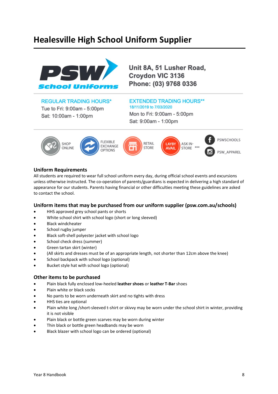# **Healesville High School Uniform Supplier**



Unit 8A, 51 Lusher Road, Croydon VIC 3136 Phone: (03) 9768 0336

# **REGULAR TRADING HOURS\***

Tue to Fri: 9:00am - 5:00pm Sat: 10:00am - 1:00pm

# **EXTENDED TRADING HOURS\*\*** 18/11/2019 to 7/03/2020

Mon to Fri: 9:00am - 5:00pm Sat: 9:00am - 1:00pm



# **Uniform Requirements**

All students are required to wear full school uniform every day, during official school events and excursions unless otherwise instructed. The co-operation of parents/guardians is expected in delivering a high standard of appearance for our students. Parents having financial or other difficulties meeting these guidelines are asked to contact the school.

# **Uniform items that may be purchased from our uniform supplier (psw.com.au/schools)**

- HHS approved grey school pants or shorts
- White school shirt with school logo (short or long sleeved)
- Black windcheater
- School rugby jumper
- Black soft-shell polyester jacket with school logo
- School check dress (summer)
- Green tartan skirt (winter)
- (All skirts and dresses must be of an appropriate length, not shorter than 12cm above the knee)
- School backpack with school logo (optional)
- Bucket style hat with school logo (optional)

# **Other items to be purchased**

- Plain black fully enclosed low-heeled **leather shoes** or **leather T-Bar** shoes
- Plain white or black socks
- No pants to be worn underneath skirt and no tights with dress
- HHS ties are optional
- Plain white long /short-sleeved t-shirt or skivvy may be worn under the school shirt in winter, providing it is not visible
- Plain black or bottle green scarves may be worn during winter
- Thin black or bottle green headbands may be worn
- Black blazer with school logo can be ordered (optional)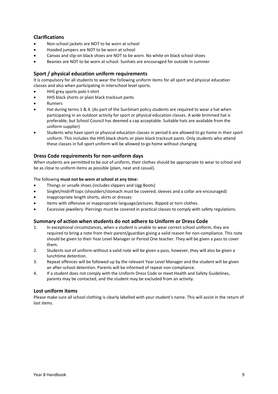# **Clarifications**

- Non-school jackets are NOT to be worn at school
- Hooded jumpers are NOT to be worn at school
- Canvas and slip-on black shoes are NOT to be worn. No white on black school shoes
- Beanies are NOT to be worn at school. Sunhats are encouraged for outside in summer

# **Sport / physical education uniform requirements**

It is compulsory for all students to wear the following uniform items for all sport and physical education classes and also when participating in interschool level sports.

- HHS grey sports polo t-shirt
- HHS black shorts or plain black tracksuit pants
- **Runners**
- Hat during terms 1 & 4. (As part of the SunSmart policy students are required to wear a hat when participating in an outdoor activity for sport or physical education classes. A wide brimmed hat is preferable, but School Council has deemed a cap acceptable. Suitable hats are available from the uniform supplier)
- Students who have sport or physical education classes in period 6 are allowed to go home in their sport uniform. This includes the HHS black shorts or plain black tracksuit pants. Only students who attend these classes in full sport uniform will be allowed to go home without changing

# **Dress Code requirements for non-uniform days**

When students are permitted to be out of uniform, their clothes should be appropriate to wear to school and be as close to uniform items as possible (plain, neat and casual).

# The following **must not be worn at school at any time:**

- Thongs or unsafe shoes (includes slippers and Ugg Boots)
- Singlet/midriff tops (shoulders/stomach must be covered; sleeves and a collar are encouraged)
- Inappropriate length shorts, skirts or dresses
- Items with offensive or inappropriate language/pictures. Ripped or torn clothes.
- Excessive jewellery. Piercings must be covered in practical classes to comply with safety regulations.

# **Summary of action when students do not adhere to Uniform or Dress Code**

- 1. In exceptional circumstances, when a student is unable to wear correct school uniform, they are required to bring a note from their parent/guardian giving a valid reason for non-compliance. This note should be given to their Year Level Manager or Period One teacher. They will be given a pass to cover them.
- 2. Students out of uniform without a valid note will be given a pass, however, they will also be given a lunchtime detention.
- 3. Repeat offences will be followed up by the relevant Year Level Manager and the student will be given an after-school detention. Parents will be informed of repeat non-compliance.
- 4. If a student does not comply with the Uniform Dress Code or meet Health and Safety Guidelines, parents may be contacted, and the student may be excluded from an activity.

# **Lost uniform items**

Please make sure all school clothing is clearly labelled with your student's name. This will assist in the return of lost items.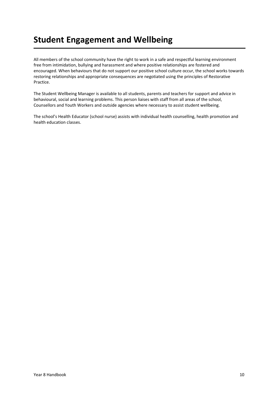# **Student Engagement and Wellbeing**

All members of the school community have the right to work in a safe and respectful learning environment free from intimidation, bullying and harassment and where positive relationships are fostered and encouraged. When behaviours that do not support our positive school culture occur, the school works towards restoring relationships and appropriate consequences are negotiated using the principles of Restorative Practice.

The Student Wellbeing Manager is available to all students, parents and teachers for support and advice in behavioural, social and learning problems. This person liaises with staff from all areas of the school, Counsellors and Youth Workers and outside agencies where necessary to assist student wellbeing.

The school's Health Educator (school nurse) assists with individual health counselling, health promotion and health education classes.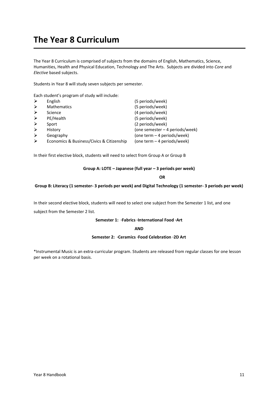# **The Year 8 Curriculum**

The Year 8 Curriculum is comprised of subjects from the domains of English, Mathematics, Science, Humanities, Health and Physical Education, Technology and The Arts. Subjects are divided into *Core* and *Elective* based subjects.

Students in Year 8 will study seven subjects per semester.

Each student's program of study will include:

|                       | English                                   | (5 periods/week)                |
|-----------------------|-------------------------------------------|---------------------------------|
| $\triangleright$      | <b>Mathematics</b>                        | (5 periods/week)                |
|                       | Science                                   | (4 periods/week)                |
| ➤                     | PE/Health                                 | (5 periods/week)                |
| $\blacktriangleright$ | Sport                                     | (2 periods/week)                |
|                       | History                                   | (one semester – 4 periods/week) |
|                       | Geography                                 | (one term – 4 periods/week)     |
| $\blacktriangleright$ | Economics & Business/Civics & Citizenship | (one term - 4 periods/week)     |

In their first elective block, students will need to select from Group A or Group B

### **Group A: LOTE – Japanese (full year – 3 periods per week)**

**OR**

#### **Group B: Literacy (1 semester- 3 periods per week) and Digital Technology (1 semester- 3 periods per week)**

In their second elective block, students will need to select one subject from the Semester 1 list, and one

subject from the Semester 2 list.

#### **Semester 1: ·Fabrics ·International Food ·Art**

**AND**

#### **Semester 2: ·Ceramics ·Food Celebration ·2D Art**

\*Instrumental Music is an extra-curricular program. Students are released from regular classes for one lesson per week on a rotational basis.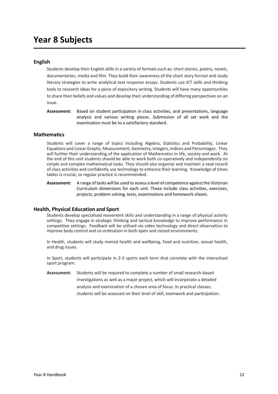# **Year 8 Subjects**

# **English**

Students develop their English skills in a variety of formats such as: short stories, poetry, novels, documentaries, media and film. They build their awareness of the short story format and study literary strategies to write analytical text response essays. Students use ICT skills and thinking tools to research ideas for a piece of expository writing. Students will have many opportunities to share their beliefs and values and develop their understanding of differing perspectives on an issue.

**Assessment:** Based on student participation in class activities, oral presentations, language analysis and various writing pieces. Submission of all set work and the examination must be to a satisfactory standard.

# **Mathematics**

Students will cover a range of topics including Algebra, Statistics and Probability, Linear Equations and Linear Graphs, Measurement, Geometry, Integers, Indices and Percentages. They will further their understanding of the application of Mathematics in life, society and work. At the end of this unit students should be able to work both co-operatively and independently on simple and complex mathematical tasks. They should also organise and maintain a neat record of class activities and confidently use technology to enhance their learning. Knowledge of times tables is crucial, so regular practice is recommended.

**Assessment:** A range of tasks will be used to assess a level of competence against the Victorian Curriculum dimensions for each unit. These include class activities, exercises, projects, problem solving, tests, examinations and homework sheets.

# **Health, Physical Education and Sport**

Students develop specialised movement skills and understanding in a range of physical activity settings. They engage in strategic thinking and tactical knowledge to improve performance in competitive settings. Feedback will be utilised via video technology and direct observation to improve body control and co-ordination in both open and closed environments.

In Health, students will study mental health and wellbeing, food and nutrition, sexual health, and drug issues.

In Sport, students will participate in 2-3 sports each term that correlate with the interschool sport program.

**Assessment:** Students will be required to complete a number of small research-based investigations as well as a major project, which will incorporate a detailed analysis and examination of a chosen area of focus. In practical classes, students will be assessed on their level of skill, teamwork and participation.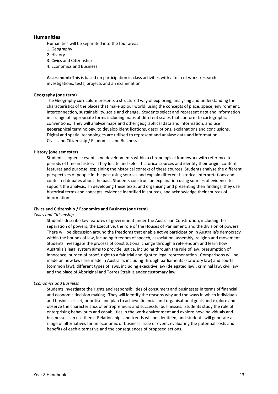# **Humanities**

Humanities will be separated into the four areas:

- 1. Geography
- 2. History
- 3. Civics and Citizenship
- 4. Economics and Business.

**Assessment:** This is based on participation in class activities with a folio of work, research investigations, tests, projects and an examination.

#### **Geography (one term)**

The Geography curriculum presents a structured way of exploring, analysing and understanding the characteristics of the places that make up our world, using the concepts of place, space, environment, interconnection, sustainability, scale and change. Students select and represent data and information in a range of appropriate forms including maps at different scales that conform to cartographic conventions. They will analyse maps and other geographical data and information, and use geographical terminology, to develop identifications, descriptions, explanations and conclusions. Digital and spatial technologies are utilised to represent and analyse data and information. Civics and Citizenship / Economics and Business

#### **History (one semester)**

Students sequence events and developments within a chronological framework with reference to periods of time in history. They locate and select historical sources and identify their origin, content features and purpose, explaining the historical context of these sources. Students analyse the different perspectives of people in the past using sources and explain different historical interpretations and contested debates about the past. Students construct an explanation using sources of evidence to support the analysis. In developing these texts, and organising and presenting their findings, they use historical terms and concepts, evidence identified in sources, and acknowledge their sources of information.

#### **Civics and Citizenship / Economics and Business (one term)**

#### *Civics and Citizenship*

Students describe key features of government under the Australian Constitution, including the separation of powers, the Executive, the role of the Houses of Parliament, and the division of powers. There will be discussion around the freedoms that enable active participation in Australia's democracy within the bounds of law, including freedom of speech, association, assembly, religion and movement. Students investigate the process of constitutional change through a referendum and learn how Australia's legal system aims to provide justice, including through the rule of law, presumption of innocence, burden of proof, right to a fair trial and right to legal representation. Comparisons will be made on how laws are made in Australia, including through parliaments (statutory law) and courts (common law), different types of laws, including executive law (delegated law), criminal law, civil law and the place of Aboriginal and Torres Strait Islander customary law.

#### *Economics and Business*

Students investigate the rights and responsibilities of consumers and businesses in terms of financial and economic decision making. They will identify the reasons why and the ways in which individuals and businesses set, prioritise and plan to achieve financial and organisational goals and explore and observe the characteristics of entrepreneurs and successful businesses. Students study the role of enterprising behaviours and capabilities in the work environment and explore how individuals and businesses can use them. Relationships and trends will be identified, and students will generate a range of alternatives for an economic or business issue or event, evaluating the potential costs and benefits of each alternative and the consequences of proposed actions.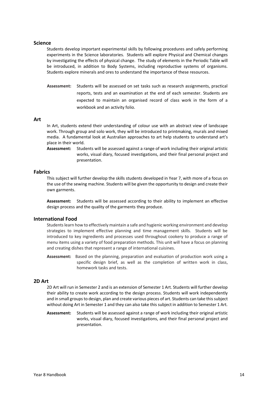### **Science**

Students develop important experimental skills by following procedures and safely performing experiments in the Science laboratories. Students will explore Physical and Chemical changes by investigating the effects of physical change. The study of elements in the Periodic Table will be introduced, in addition to Body Systems, including reproductive systems of organisms. Students explore minerals and ores to understand the importance of these resources.

**Assessment:** Students will be assessed on set tasks such as research assignments, practical reports, tests and an examination at the end of each semester. Students are expected to maintain an organised record of class work in the form of a workbook and an activity folio.

#### **Art**

In Art, students extend their understanding of colour use with an abstract view of landscape work. Through group and solo work, they will be introduced to printmaking, murals and mixed media. A fundamental look at Australian approaches to art help students to understand art's place in their world.

**Assessment:** Students will be assessed against a range of work including their original artistic works, visual diary, focused investigations, and their final personal project and presentation.

### **Fabrics**

This subject will further develop the skills students developed in Year 7, with more of a focus on the use of the sewing machine. Students will be given the opportunity to design and create their own garments.

**Assessment:** Students will be assessed according to their ability to implement an effective design process and the quality of the garments they produce.

### **International Food**

Students learn how to effectively maintain a safe and hygienic working environment and develop strategies to implement effective planning and time management skills. Students will be introduced to key ingredients and processes used throughout cookery to produce a range of menu items using a variety of food preparation methods. This unit will have a focus on planning and creating dishes that represent a range of international cuisines.

**Assessment:** Based on the planning, preparation and evaluation of production work using a specific design brief, as well as the completion of written work in class, homework tasks and tests.

#### **2D Art**

2D Art will run in Semester 2 and is an extension of Semester 1 Art. Students will further develop their ability to create work according to the design process. Students will work independently and in small groups to design, plan and create various pieces of art. Students can take this subject without doing Art in Semester 1 and they can also take this subject in addition to Semester 1 Art.

**Assessment:** Students will be assessed against a range of work including their original artistic works, visual diary, focused investigations, and their final personal project and presentation.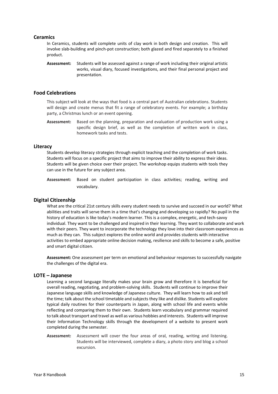# **Ceramics**

In Ceramics, students will complete units of clay work in both design and creation. This will involve slab-building and pinch-pot construction; both glazed and fired separately to a finished product.

**Assessment:** Students will be assessed against a range of work including their original artistic works, visual diary, focused investigations, and their final personal project and presentation.

### **Food Celebrations**

This subject will look at the ways that food is a central part of Australian celebrations. Students will design and create menus that fit a range of celebratory events. For example; a birthday party, a Christmas lunch or an event opening.

**Assessment:** Based on the planning, preparation and evaluation of production work using a specific design brief, as well as the completion of written work in class, homework tasks and tests.

### **Literacy**

Students develop literacy strategies through explicit teaching and the completion of work tasks. Students will focus on a specific project that aims to improve their ability to express their ideas. Students will be given choice over their project. The workshop equips students with tools they can use in the future for any subject area.

**Assessment:** Based on student participation in class activities; reading, writing and vocabulary.

### **Digital Citizenship**

What are the critical 21st century skills every student needs to survive and succeed in our world? What abilities and traits will serve them in a time that's changing and developing so rapidly? No pupil in the history of education is like today's modern learner. This is a complex, energetic, and tech-savvy individual. They want to be challenged and inspired in their learning. They want to collaborate and work with their peers. They want to incorporate the technology they love into their classroom experiences as much as they can. This subject explores the online world and provides students with interactive activities to embed appropriate online decision making, resilience and skills to become a safe, positive and smart digital citizen.

**Assessment:** One assessment per term on emotional and behaviour responses to successfully navigate the challenges of the digital era.

#### **LOTE – Japanese**

Learning a second language literally makes your brain grow and therefore it is beneficial for overall reading, negotiating, and problem-solving skills. Students will continue to improve their Japanese language skills and knowledge of Japanese culture. They will learn how to ask and tell the time; talk about the school timetable and subjects they like and dislike. Students will explore typical daily routines for their counterparts in Japan, along with school life and events while reflecting and comparing them to their own. Students learn vocabulary and grammar required to talk about transport and travel as well as various hobbies and interests. Students will improve their Information Technology skills through the development of a website to present work completed during the semester.

**Assessment:** Assessment will cover the four areas of oral, reading, writing and listening. Students will be interviewed, complete a diary, a photo story and blog a school excursion.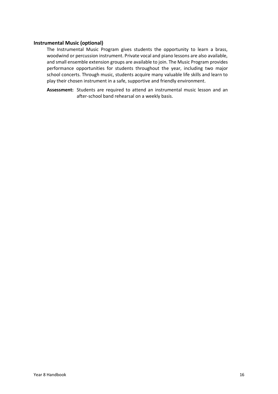# **Instrumental Music (optional)**

The Instrumental Music Program gives students the opportunity to learn a brass, woodwind or percussion instrument. Private vocal and piano lessons are also available, and small ensemble extension groups are available to join. The Music Program provides performance opportunities for students throughout the year, including two major school concerts. Through music, students acquire many valuable life skills and learn to play their chosen instrument in a safe, supportive and friendly environment.

**Assessment:** Students are required to attend an instrumental music lesson and an after-school band rehearsal on a weekly basis.